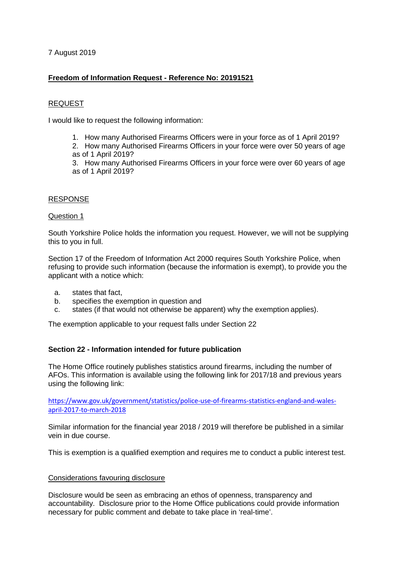7 August 2019

# **Freedom of Information Request - Reference No: 20191521**

## REQUEST

I would like to request the following information:

1. How many Authorised Firearms Officers were in your force as of 1 April 2019?

2. How many Authorised Firearms Officers in your force were over 50 years of age as of 1 April 2019?

3. How many Authorised Firearms Officers in your force were over 60 years of age as of 1 April 2019?

#### RESPONSE

#### Question 1

South Yorkshire Police holds the information you request. However, we will not be supplying this to you in full.

Section 17 of the Freedom of Information Act 2000 requires South Yorkshire Police, when refusing to provide such information (because the information is exempt), to provide you the applicant with a notice which:

- a. states that fact,
- b. specifies the exemption in question and
- c. states (if that would not otherwise be apparent) why the exemption applies).

The exemption applicable to your request falls under Section 22

## **Section 22 - Information intended for future publication**

The Home Office routinely publishes statistics around firearms, including the number of AFOs. This information is available using the following link for 2017/18 and previous years using the following link:

[https://www.gov.uk/government/statistics/police-use-of-firearms-statistics-england-and-wales](https://www.gov.uk/government/statistics/police-use-of-firearms-statistics-england-and-wales-april-2017-to-march-2018)[april-2017-to-march-2018](https://www.gov.uk/government/statistics/police-use-of-firearms-statistics-england-and-wales-april-2017-to-march-2018)

Similar information for the financial year 2018 / 2019 will therefore be published in a similar vein in due course.

This is exemption is a qualified exemption and requires me to conduct a public interest test.

#### Considerations favouring disclosure

Disclosure would be seen as embracing an ethos of openness, transparency and accountability. Disclosure prior to the Home Office publications could provide information necessary for public comment and debate to take place in 'real-time'.